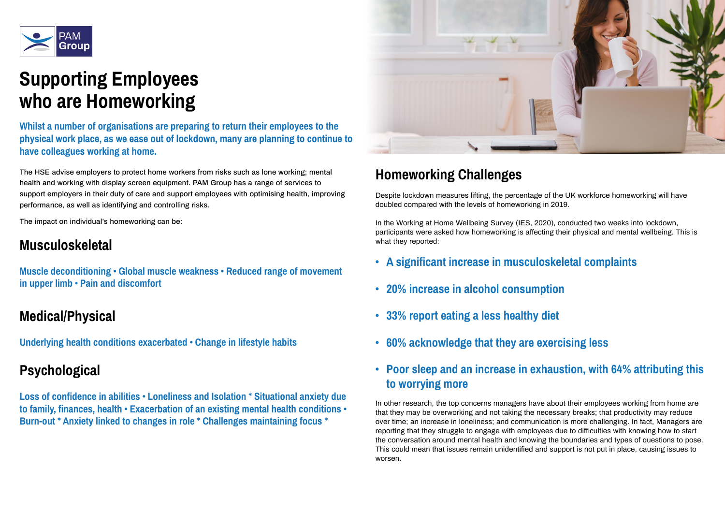

# **Supporting Employees who are Homeworking**

The HSE advise employers to protect home workers from risks such as lone working; mental health and working with display screen equipment. PAM Group has a range of services to support employers in their duty of care and support employees with optimising health, improving performance, as well as identifying and controlling risks.

The impact on individual's homeworking can be:

## **Musculoskeletal**

**Muscle deconditioning • Global muscle weakness • Reduced range of movement in upper limb • Pain and discomfort** 

### **Medical/Physical**

**Underlying health conditions exacerbated • Change in lifestyle habits** 

## **Psychological**

**Loss of confidence in abilities • Loneliness and Isolation \* Situational anxiety due to family, finances, health • Exacerbation of an existing mental health conditions • Burn-out \* Anxiety linked to changes in role \* Challenges maintaining focus \***



## **Homeworking Challenges**

Despite lockdown measures lifting, the percentage of the UK workforce homeworking will have doubled compared with the levels of homeworking in 2019.

In the Working at Home Wellbeing Survey (IES, 2020), conducted two weeks into lockdown, participants were asked how homeworking is affecting their physical and mental wellbeing. This is what they reported:

- **• A significant increase in musculoskeletal complaints**
- **• 20% increase in alcohol consumption**
- **• 33% report eating a less healthy diet**
- **• 60% acknowledge that they are exercising less**
- **• Poor sleep and an increase in exhaustion, with 64% attributing this to worrying more**

In other research, the top concerns managers have about their employees working from home are that they may be overworking and not taking the necessary breaks; that productivity may reduce over time; an increase in loneliness; and communication is more challenging. In fact, Managers are reporting that they struggle to engage with employees due to difficulties with knowing how to start the conversation around mental health and knowing the boundaries and types of questions to pose. This could mean that issues remain unidentified and support is not put in place, causing issues to worsen.

**Whilst a number of organisations are preparing to return their employees to the physical work place, as we ease out of lockdown, many are planning to continue to have colleagues working at home.**